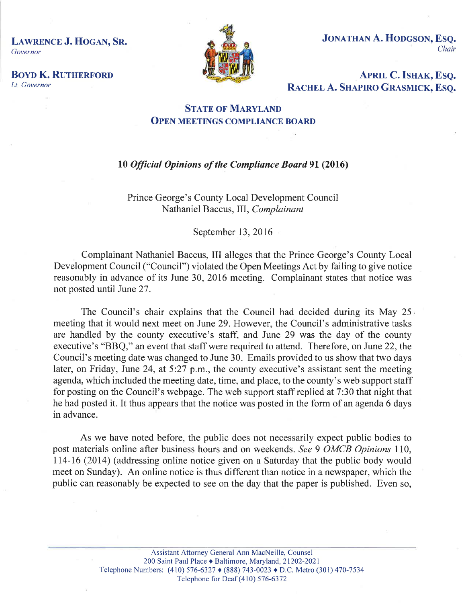LAWRENCE J. HOGAN, SR. Governor



JONATHAN A. HODGSON, ESO. Chair

**BOYD K. RUTHERFORD** Lt. Governor

APRIL C. ISHAK, ESQ.<br>RACHEL A. SHAPIRO GRASMICK, ESQ.

## **STATE OF MARYLAND OPEN MEETINGS COMPLIANCE BOARD**

## l0 Officiøl Opinions of the Compliance Bourd 9l (2016)

Prince George's County Local Development Council Nathaniel Baccus, III, Complainant

September 13,2016

Complainant Nathaniel Baccus, III alleges that the Prince George's County Local Development Council ("Council") violated the Open Meetings Act by failing to give notice reasonably in advance of its June 30, 2016 meeting. Complainant states that notice was not posted until June 27.

The Council's chair explains that the Council had decided during its May 25 meeting that it would next meet on June 29. However, the Council's administrative tasks are handled by the county executive's staff, and June 29 was the day of the county executive's "BBQ," an event that staff were required to attend. Therefore, on June 22, the Council's meeting date was changed to June 30. Emails provided to us show that two days later, on Friday, June 24, at  $5:27$  p.m., the county executive's assistant sent the meeting agenda, which included the meeting date, time, and place, to the county's web support staff for posting on the Council's webpage. The web support staff replied at 7:30 that night that he had posted it. It thus appears that the notice was posted in the form of an agenda 6 days in advance.

As we have noted before, the public does not necessarily expect public bodies to post materials online after business hours and on weekends. See 9 OMCB Opínions II0, 114-16 (2014) (addressing online notice given on a Saturday that the public body would meet on Sunday). An online notice is thus different than notice in a newspaper, which the public can reasonably be expected to see on the day that the paper is published. Even so,